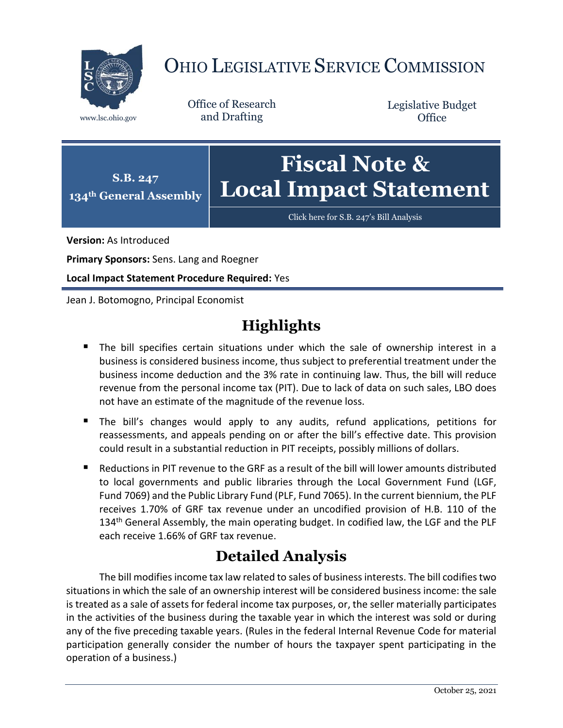

## OHIO LEGISLATIVE SERVICE COMMISSION

Office of Research www.lsc.ohio.gov and Drafting

Legislative Budget **Office** 



[Click here for S.B. 247](https://www.legislature.ohio.gov/legislation/legislation-documents?id=GA134-SB-247)'s Bill Analysis

**Version:** As Introduced

**Primary Sponsors:** Sens. Lang and Roegner

**Local Impact Statement Procedure Required:** Yes

Jean J. Botomogno, Principal Economist

## **Highlights**

- The bill specifies certain situations under which the sale of ownership interest in a business is considered business income, thus subject to preferential treatment under the business income deduction and the 3% rate in continuing law. Thus, the bill will reduce revenue from the personal income tax (PIT). Due to lack of data on such sales, LBO does not have an estimate of the magnitude of the revenue loss.
- The bill's changes would apply to any audits, refund applications, petitions for reassessments, and appeals pending on or after the bill's effective date. This provision could result in a substantial reduction in PIT receipts, possibly millions of dollars.
- Reductions in PIT revenue to the GRF as a result of the bill will lower amounts distributed to local governments and public libraries through the Local Government Fund (LGF, Fund 7069) and the Public Library Fund (PLF, Fund 7065). In the current biennium, the PLF receives 1.70% of GRF tax revenue under an uncodified provision of H.B. 110 of the 134<sup>th</sup> General Assembly, the main operating budget. In codified law, the LGF and the PLF each receive 1.66% of GRF tax revenue.

## **Detailed Analysis**

The bill modifies income tax law related to sales of business interests. The bill codifies two situations in which the sale of an ownership interest will be considered business income: the sale is treated as a sale of assets for federal income tax purposes, or, the seller materially participates in the activities of the business during the taxable year in which the interest was sold or during any of the five preceding taxable years. (Rules in the federal Internal Revenue Code for material participation generally consider the number of hours the taxpayer spent participating in the operation of a business.)